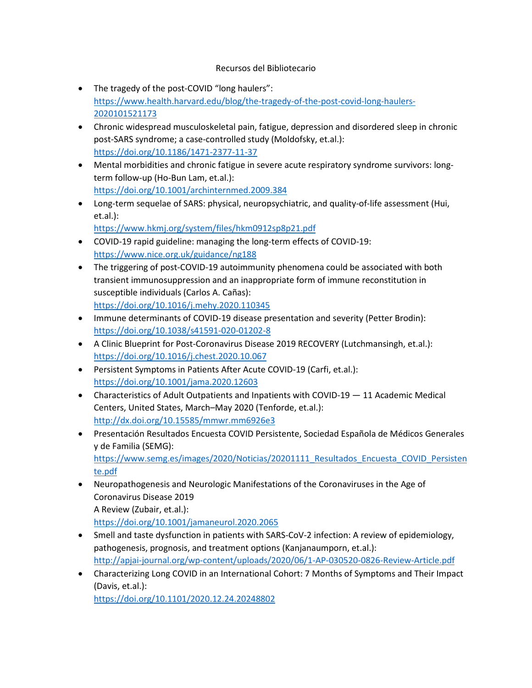## Recursos del Bibliotecario

- The tragedy of the post-COVID "long haulers": [https://www.health.harvard.edu/blog/the-tragedy-of-the-post-covid-long-haulers-](https://www.health.harvard.edu/blog/the-tragedy-of-the-post-covid-long-haulers-2020101521173)[2020101521173](https://www.health.harvard.edu/blog/the-tragedy-of-the-post-covid-long-haulers-2020101521173)
- Chronic widespread musculoskeletal pain, fatigue, depression and disordered sleep in chronic post-SARS syndrome; a case-controlled study (Moldofsky, et.al.): <https://doi.org/10.1186/1471-2377-11-37>
- Mental morbidities and chronic fatigue in severe acute respiratory syndrome survivors: longterm follow-up (Ho-Bun Lam, et.al.): <https://doi.org/10.1001/archinternmed.2009.384>
- Long-term sequelae of SARS: physical, neuropsychiatric, and quality-of-life assessment (Hui, et.al.):

<https://www.hkmj.org/system/files/hkm0912sp8p21.pdf>

- COVID-19 rapid guideline: managing the long-term effects of COVID-19: <https://www.nice.org.uk/guidance/ng188>
- The triggering of post-COVID-19 autoimmunity phenomena could be associated with both transient immunosuppression and an inappropriate form of immune reconstitution in susceptible individuals (Carlos A. Cañas): <https://doi.org/10.1016/j.mehy.2020.110345>
- Immune determinants of COVID-19 disease presentation and severity (Petter Brodin): <https://doi.org/10.1038/s41591-020-01202-8>
- A Clinic Blueprint for Post-Coronavirus Disease 2019 RECOVERY (Lutchmansingh, et.al.): <https://doi.org/10.1016/j.chest.2020.10.067>
- Persistent Symptoms in Patients After Acute COVID-19 (Carfi, et.al.): <https://doi.org/10.1001/jama.2020.12603>
- Characteristics of Adult Outpatients and Inpatients with COVID-19 11 Academic Medical Centers, United States, March–May 2020 (Tenforde, et.al.): <http://dx.doi.org/10.15585/mmwr.mm6926e3>
- Presentación Resultados Encuesta COVID Persistente, Sociedad Española de Médicos Generales y de Familia (SEMG): [https://www.semg.es/images/2020/Noticias/20201111\\_Resultados\\_Encuesta\\_COVID\\_Persisten](https://www.semg.es/images/2020/Noticias/20201111_Resultados_Encuesta_COVID_Persistente.pdf) [te.pdf](https://www.semg.es/images/2020/Noticias/20201111_Resultados_Encuesta_COVID_Persistente.pdf)
- Neuropathogenesis and Neurologic Manifestations of the Coronaviruses in the Age of Coronavirus Disease 2019 A Review (Zubair, et.al.): <https://doi.org/10.1001/jamaneurol.2020.2065>
- Smell and taste dysfunction in patients with SARS-CoV-2 infection: A review of epidemiology, pathogenesis, prognosis, and treatment options (Kanjanaumporn, et.al.): <http://apjai-journal.org/wp-content/uploads/2020/06/1-AP-030520-0826-Review-Article.pdf>
- Characterizing Long COVID in an International Cohort: 7 Months of Symptoms and Their Impact (Davis, et.al.):

<https://doi.org/10.1101/2020.12.24.20248802>